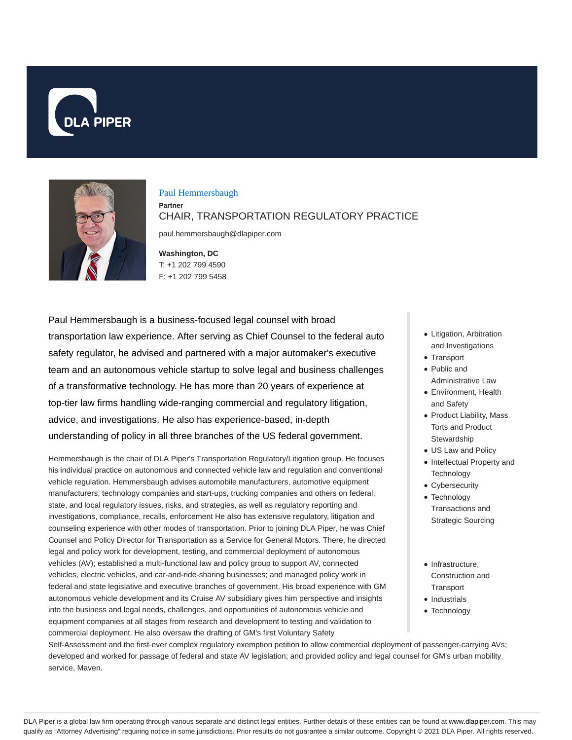



#### Paul Hemmersbaugh

**Partner** CHAIR, TRANSPORTATION REGULATORY PRACTICE

paul.hemmersbaugh@dlapiper.com

**Washington, DC** T: +1 202 799 4590 F: +1 202 799 5458

Paul Hemmersbaugh is a business-focused legal counsel with broad transportation law experience. After serving as Chief Counsel to the federal auto safety regulator, he advised and partnered with a major automaker's executive team and an autonomous vehicle startup to solve legal and business challenges of a transformative technology. He has more than 20 years of experience at top-tier law firms handling wide-ranging commercial and regulatory litigation, advice, and investigations. He also has experience-based, in-depth understanding of policy in all three branches of the US federal government.

Hemmersbaugh is the chair of DLA Piper's Transportation Regulatory/Litigation group. He focuses his individual practice on autonomous and connected vehicle law and regulation and conventional vehicle regulation. Hemmersbaugh advises automobile manufacturers, automotive equipment manufacturers, technology companies and start-ups, trucking companies and others on federal, state, and local regulatory issues, risks, and strategies, as well as regulatory reporting and investigations, compliance, recalls, enforcement He also has extensive regulatory, litigation and counseling experience with other modes of transportation. Prior to joining DLA Piper, he was Chief Counsel and Policy Director for Transportation as a Service for General Motors. There, he directed legal and policy work for development, testing, and commercial deployment of autonomous vehicles (AV); established a multi-functional law and policy group to support AV, connected vehicles, electric vehicles, and car-and-ride-sharing businesses; and managed policy work in federal and state legislative and executive branches of government. His broad experience with GM autonomous vehicle development and its Cruise AV subsidiary gives him perspective and insights into the business and legal needs, challenges, and opportunities of autonomous vehicle and equipment companies at all stages from research and development to testing and validation to commercial deployment. He also oversaw the drafting of GM's first Voluntary Safety

- Litigation, Arbitration and Investigations
- Transport
- Public and Administrative Law
- Environment, Health and Safety
- Product Liability, Mass Torts and Product **Stewardship**
- US Law and Policy
- Intellectual Property and **Technology**
- Cybersecurity
- Technology Transactions and Strategic Sourcing
- $\bullet$  Infrastructure, Construction and **Transport**
- Industrials
- Technology

Self-Assessment and the first-ever complex regulatory exemption petition to allow commercial deployment of passenger-carrying AVs; developed and worked for passage of federal and state AV legislation; and provided policy and legal counsel for GM's urban mobility service, Maven.

DLA Piper is a global law firm operating through various separate and distinct legal entities. Further details of these entities can be found at www.dlapiper.com. This may qualify as "Attorney Advertising" requiring notice in some jurisdictions. Prior results do not guarantee a similar outcome. Copyright © 2021 DLA Piper. All rights reserved.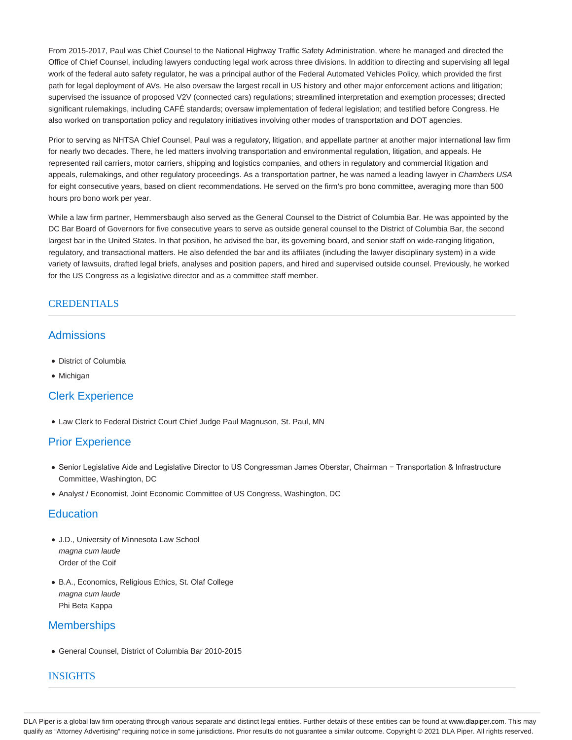From 2015-2017, Paul was Chief Counsel to the National Highway Traffic Safety Administration, where he managed and directed the Office of Chief Counsel, including lawyers conducting legal work across three divisions. In addition to directing and supervising all legal work of the federal auto safety regulator, he was a principal author of the Federal Automated Vehicles Policy, which provided the first path for legal deployment of AVs. He also oversaw the largest recall in US history and other major enforcement actions and litigation; supervised the issuance of proposed V2V (connected cars) regulations; streamlined interpretation and exemption processes; directed significant rulemakings, including CAFÉ standards; oversaw implementation of federal legislation; and testified before Congress. He also worked on transportation policy and regulatory initiatives involving other modes of transportation and DOT agencies.

Prior to serving as NHTSA Chief Counsel, Paul was a regulatory, litigation, and appellate partner at another major international law firm for nearly two decades. There, he led matters involving transportation and environmental regulation, litigation, and appeals. He represented rail carriers, motor carriers, shipping and logistics companies, and others in regulatory and commercial litigation and appeals, rulemakings, and other regulatory proceedings. As a transportation partner, he was named a leading lawyer in Chambers USA for eight consecutive years, based on client recommendations. He served on the firm's pro bono committee, averaging more than 500 hours pro bono work per year.

While a law firm partner, Hemmersbaugh also served as the General Counsel to the District of Columbia Bar. He was appointed by the DC Bar Board of Governors for five consecutive years to serve as outside general counsel to the District of Columbia Bar, the second largest bar in the United States. In that position, he advised the bar, its governing board, and senior staff on wide-ranging litigation, regulatory, and transactional matters. He also defended the bar and its affiliates (including the lawyer disciplinary system) in a wide variety of lawsuits, drafted legal briefs, analyses and position papers, and hired and supervised outside counsel. Previously, he worked for the US Congress as a legislative director and as a committee staff member.

#### **CREDENTIALS**

## **Admissions**

- District of Columbia
- Michigan

## Clerk Experience

Law Clerk to Federal District Court Chief Judge Paul Magnuson, St. Paul, MN

## Prior Experience

- Senior Legislative Aide and Legislative Director to US Congressman James Oberstar, Chairman − Transportation & Infrastructure Committee, Washington, DC
- Analyst / Economist, Joint Economic Committee of US Congress, Washington, DC

## **Education**

- J.D., University of Minnesota Law School magna cum laude Order of the Coif
- B.A., Economics, Religious Ethics, St. Olaf College magna cum laude Phi Beta Kappa

## **Memberships**

General Counsel, District of Columbia Bar 2010-2015

#### INSIGHTS

DLA Piper is a global law firm operating through various separate and distinct legal entities. Further details of these entities can be found at www.dlapiper.com. This may qualify as "Attorney Advertising" requiring notice in some jurisdictions. Prior results do not guarantee a similar outcome. Copyright @ 2021 DLA Piper. All rights reserved.